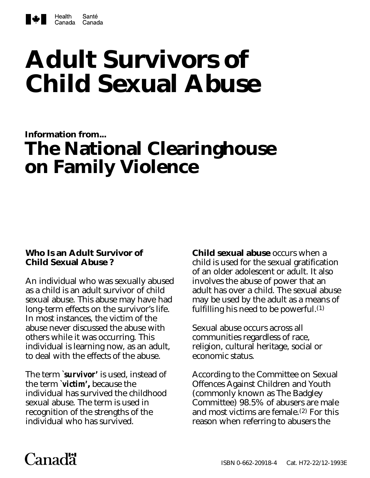

# **Adult Survivors of Child Sexual Abuse**

# **Information from... The National Clearinghouse on Family Violence**

# **Who Is an Adult Survivor of Child Sexual Abuse ?**

An individual who was sexually abused as a child is an adult survivor of child sexual abuse. This abuse may have had long-term effects on the survivor's life. In most instances, the victim of the abuse never discussed the abuse with others while it was occurring. This individual is learning now, as an adult, to deal with the effects of the abuse.

The term *`survivor'* is used, instead of the term *`victim'***,** because the individual has survived the childhood sexual abuse. The term is used in recognition of the strengths of the individual who has survived.

**Child sexual abuse** occurs when a child is used for the sexual gratification of an older adolescent or adult. It also involves the abuse of power that an adult has over a child. The sexual abuse may be used by the adult as a means of fulfilling his need to be powerful.(1)

Sexual abuse occurs across all communities regardless of race, religion, cultural heritage, social or economic status.

According to the Committee on Sexual Offences Against Children and Youth (commonly known as The Badgley Committee) 98.5% of abusers are male and most victims are female. $(2)$  For this reason when referring to abusers the

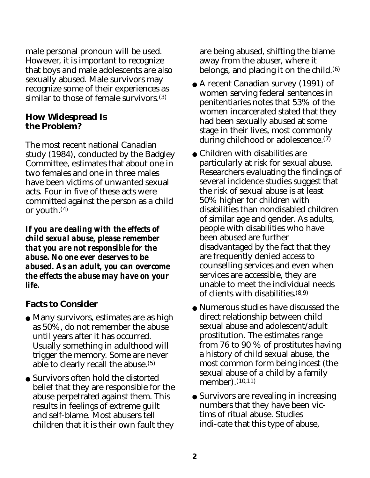male personal pronoun will be used. However, it is important to recognize that boys and male adolescents are also sexually abused. Male survivors may recognize some of their experiences as similar to those of female survivors.(3)

#### **How Widespread Is the Problem?**

The most recent national Canadian study (1984), conducted by the Badgley Committee, estimates that about one in two females and one in three males have been victims of unwanted sexual acts. Four in five of these acts were committed against the person as a child or youth.(4)

*If you are dealing with the effects of child sexual abuse, please remember that you are not responsible for the abuse. No one ever deserves to be abused. As an adult, you can overcome the effects the abuse may have on your life.*

# **Facts to Consider**

- Many survivors, estimates are as high as 50%, do not remember the abuse until years after it has occurred. Usually something in adulthood will trigger the memory. Some are never able to clearly recall the abuse.(5)
- Survivors often hold the distorted belief that they are responsible for the abuse perpetrated against them. This results in feelings of extreme guilt and self-blame. Most abusers tell children that it is their own fault they

are being abused, shifting the blame away from the abuser, where it belongs, and placing it on the child. $(6)$ 

- A recent Canadian survey (1991) of women serving federal sentences in penitentiaries notes that 53% of the women incarcerated stated that they had been sexually abused at some stage in their lives, most commonly during childhood or adolescence.(7)
- Children with disabilities are particularly at risk for sexual abuse. Researchers evaluating the findings of several incidence studies suggest that the risk of sexual abuse is at least 50% higher for children with disabilities than nondisabled children of similar age and gender. As adults, people with disabilities who have been abused are further disadvantaged by the fact that they are frequently denied access to counselling services and even when services are accessible, they are unable to meet the individual needs of clients with disabilities.(8,9)
- Numerous studies have discussed the direct relationship between child sexual abuse and adolescent/adult prostitution. The estimates range from 76 to 90 % of prostitutes having a history of child sexual abuse, the most common form being incest (the sexual abuse of a child by a family member).<sup>(10,11)</sup>
- Survivors are revealing in increasing numbers that they have been victims of ritual abuse. Studies indi-cate that this type of abuse,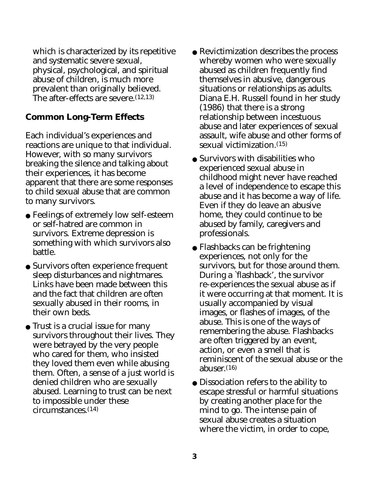which is characterized by its repetitive and systematic severe sexual, physical, psychological, and spiritual abuse of children, is much more prevalent than originally believed. The after-effects are severe.  $(12,13)$ 

# **Common Long-Term Effects**

Each individual's experiences and reactions are unique to that individual. However, with so many survivors breaking the silence and talking about their experiences, it has become apparent that there are some responses to child sexual abuse that are common to many survivors.

- Feelings of extremely low self-esteem or self-hatred are common in survivors. Extreme depression is something with which survivors also battle.
- Survivors often experience frequent sleep disturbances and nightmares. Links have been made between this and the fact that children are often sexually abused in their rooms, in their own beds.
- Trust is a crucial issue for many survivors throughout their lives. They were betrayed by the very people who cared for them, who insisted they loved them even while abusing them. Often, a sense of a just world is denied children who are sexually abused. Learning to trust can be next to impossible under these circumstances.(14)
- Revictimization describes the process whereby women who were sexually abused as children frequently find themselves in abusive, dangerous situations or relationships as adults. Diana E.H. Russell found in her study (1986) that there is a strong relationship between incestuous abuse and later experiences of sexual assault, wife abuse and other forms of sexual victimization.(15)
- Survivors with disabilities who experienced sexual abuse in childhood might never have reached a level of independence to escape this abuse and it has become a way of life. Even if they do leave an abusive home, they could continue to be abused by family, caregivers and professionals.
- Flashbacks can be frightening experiences, not only for the survivors, but for those around them. During a `flashback', the survivor re-experiences the sexual abuse as if it were occurring at that moment. It is usually accompanied by visual images, or flashes of images, of the abuse. This is one of the ways of remembering the abuse. Flashbacks are often triggered by an event, action, or even a smell that is reminiscent of the sexual abuse or the abuser. $(16)$
- Dissociation refers to the ability to escape stressful or harmful situations by creating another place for the mind to go. The intense pain of sexual abuse creates a situation where the victim, in order to cope,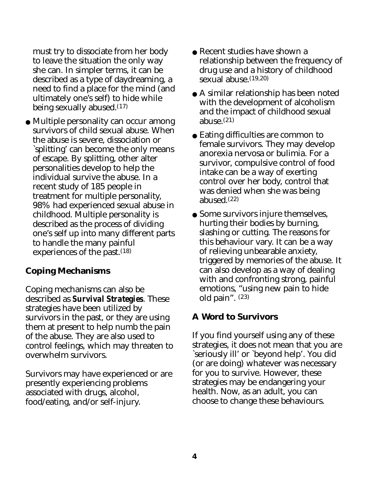must try to dissociate from her body to leave the situation the only way she can. In simpler terms, it can be described as a type of daydreaming, a need to find a place for the mind (and ultimately one's self) to hide while being sexually abused.(17)

● Multiple personality can occur among survivors of child sexual abuse. When the abuse is severe, dissociation or `splitting' can become the only means of escape. By splitting, other alter personalities develop to help the individual survive the abuse. In a recent study of 185 people in treatment for multiple personality, 98% had experienced sexual abuse in childhood. Multiple personality is described as the process of dividing one's self up into many different parts to handle the many painful experiences of the past.<sup>(18)</sup>

# **Coping Mechanisms**

Coping mechanisms can also be described as *Survival Strategies*. These strategies have been utilized by survivors in the past, or they are using them at present to help numb the pain of the abuse. They are also used to control feelings, which may threaten to overwhelm survivors.

Survivors may have experienced or are presently experiencing problems associated with drugs, alcohol, food/eating, and/or self-injury.

- Recent studies have shown a relationship between the frequency of drug use and a history of childhood sexual abuse.(19,20)
- A similar relationship has been noted with the development of alcoholism and the impact of childhood sexual abuse. $(21)$
- Eating difficulties are common to female survivors. They may develop anorexia nervosa or bulimia. For a survivor, compulsive control of food intake can be a way of exerting control over her body, control that was denied when she was being abused.(22)
- Some survivors injure themselves, hurting their bodies by burning, slashing or cutting. The reasons for this behaviour vary. It can be a way of relieving unbearable anxiety, triggered by memories of the abuse. It can also develop as a way of dealing with and confronting strong, painful emotions, "using new pain to hide old pain". (23)

#### **A Word to Survivors**

If you find yourself using any of these strategies, it does not mean that you are `seriously ill' or `beyond help'. You did (or are doing) whatever was necessary for you to survive. However, these strategies may be endangering your health. Now, as an adult, you can choose to change these behaviours.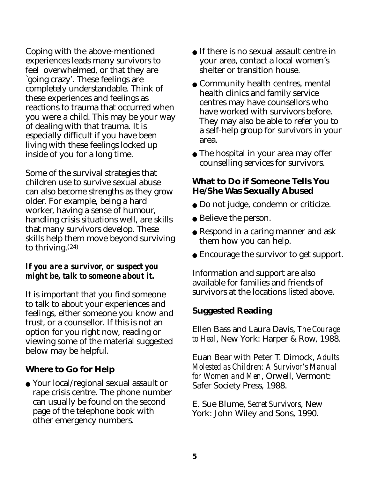Coping with the above-mentioned experiences leads many survivors to feel overwhelmed, or that they are `going crazy'. These feelings are completely understandable. Think of these experiences and feelings as reactions to trauma that occurred when you were a child. This may be your way of dealing with that trauma. It is especially difficult if you have been living with these feelings locked up inside of you for a long time.

Some of the survival strategies that children use to survive sexual abuse can also become strengths as they grow older. For example, being a hard worker, having a sense of humour, handling crisis situations well, are skills that many survivors develop. These skills help them move beyond surviving to thriving.(24)

#### *If you are a survivor, or suspect you might be, talk to someone about it.*

It is important that you find someone to talk to about your experiences and feelings, either someone you know and trust, or a counsellor. If this is not an option for you right now, reading or viewing some of the material suggested below may be helpful.

# **Where to Go for Help**

● Your local/regional sexual assault or rape crisis centre. The phone number can usually be found on the second page of the telephone book with other emergency numbers.

- If there is no sexual assault centre in your area, contact a local women's shelter or transition house.
- Community health centres, mental health clinics and family service centres may have counsellors who have worked with survivors before. They may also be able to refer you to a self-help group for survivors in your area.
- The hospital in your area may offer counselling services for survivors.

#### **What to Do if Someone Tells You He/She Was Sexually Abused**

- Do not judge, condemn or criticize.
- Believe the person.
- Respond in a caring manner and ask them how you can help.
- Encourage the survivor to get support.

Information and support are also available for families and friends of survivors at the locations listed above.

#### **Suggested Reading**

Ellen Bass and Laura Davis, *The Courage to Heal*, New York: Harper & Row, 1988.

Euan Bear with Peter T. Dimock, *Adults Molested as Children: A Survivor's Manual for Women and Men*, Orwell, Vermont: Safer Society Press, 1988.

E. Sue Blume, *Secret Survivors*, New York: John Wiley and Sons, 1990.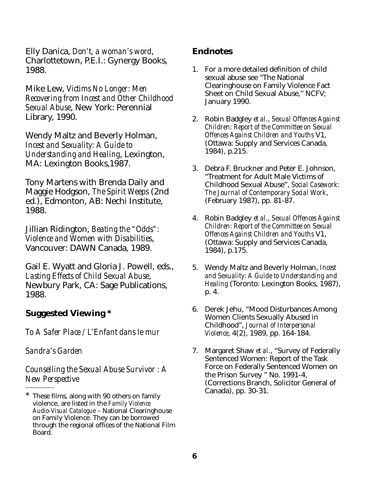Elly Danica, *Don't, a woman's word*, Charlottetown, P.E.I.: Gynergy Books, 1988.

Mike Lew, *Victims No Longer: Men Recovering from Incest and Other Childhood Sexual Abuse*, New York: Perennial Library, 1990.

Wendy Maltz and Beverly Holman, *Incest and Sexuality: A Guide to Understanding and Healing*, Lexington, MA: Lexington Books,1987.

Tony Martens with Brenda Daily and Maggie Hodgson, *The Spirit Weeps* (2nd ed.), Edmonton, AB: Nechi Institute, 1988.

Jillian Ridington, *Beating the "Odds": Violence and Women with Disabilities*, Vancouver: DAWN Canada, 1989.

Gail E. Wyatt and Gloria J. Powell, eds., *Lasting Effects of Child Sexual Abuse*, Newbury Park, CA: Sage Publications, 1988.

# **Suggested Viewing \***

*To A Safer Place / L'Enfant dans le mur*

*Sandra's Garden*

*Counselling the Sexual Abuse Survivor : A New Perspective*

#### **Endnotes**

- 1. For a more detailed definition of child sexual abuse see "The National Clearinghouse on Family Violence Fact Sheet on Child Sexual Abuse," NCFV; January 1990.
- 2. Robin Badgley *et al*., *Sexual Offences Against Children: Report of the Committee on Sexual Offences Against Children and Youths* V1, (Ottawa: Supply and Services Canada, 1984), p.215.
- 3. Debra F. Bruckner and Peter E. Johnson, "Treatment for Adult Male Victims of Childhood Sexual Abuse", *Social Casework: The Journal of Contemporary Social Work*, (February 1987), pp. 81-87.
- 4. Robin Badgley *et al*., *Sexual Offences Against Children: Report of the Committee on Sexual Offences Against Children and Youths* V1, (Ottawa: Supply and Services Canada, 1984), p.175.
- 5. Wendy Maltz and Beverly Holman, *Incest and Sexuality: A Guide to Understanding and Healing* (Toronto: Lexington Books, 1987), p. 4.
- 6. Derek Jehu, "Mood Disturbances Among Women Clients Sexually Abused in Childhood", *Journal of Interpersonal Violence*, 4(2), 1989, pp. 164-184.
- 7. Margaret Shaw *et al*., "Survey of Federally Sentenced Women: Report of the Task Force on Federally Sentenced Women on the Prison Survey " No. 1991-4, (Corrections Branch, Solicitor General of Canada), pp. 30-31.

These films, along with 90 others on family violence, are listed in the *Family Violence Audio-Visual Catalogue* – National Clearinghouse on Family Violence. They can be borrowed through the regional offices of the National Film Board.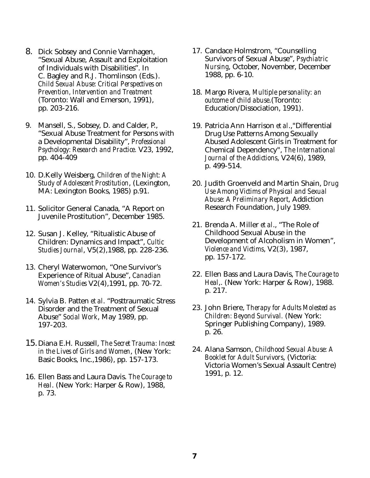- 8. Dick Sobsey and Connie Varnhagen, "Sexual Abuse, Assault and Exploitation of Individuals with Disabilities". In C. Bagley and R.J. Thomlinson (Eds.). *Child Sexual Abuse: Critical Perspectives on Prevention, Intervention and Treatment* (Toronto: Wall and Emerson, 1991), pp. 203-216.
- 9. Mansell, S., Sobsey, D. and Calder, P., "Sexual Abuse Treatment for Persons with a Developmental Disability", *Professional Psychology: Research and Practice.* V23, 1992, pp. 404-409
- 10. D.Kelly Weisberg, *Children of the Night: A Study of Adolescent Prostitution*, (Lexington, MA: Lexington Books, 1985) p.91.
- 11. Solicitor General Canada, "A Report on Juvenile Prostitution", December 1985.
- 12. Susan J. Kelley, "Ritualistic Abuse of Children: Dynamics and Impact", *Cultic Studies Journal*, V5(2),1988, pp. 228-236.
- 13. Cheryl Waterwomon, "One Survivor's Experience of Ritual Abuse", *Canadian Women's Studies* V2(4),1991, pp. 70-72.
- 14. Sylvia B. Patten *et al*. "Posttraumatic Stress Disorder and the Treatment of Sexual Abuse" *Social Work*, May 1989, pp. 197-203.
- 15.Diana E.H. Russell, *The Secret Trauma: Incest in the Lives of Girls and Women*, (New York: Basic Books, Inc.,1986), pp. 157-173.
- 16. Ellen Bass and Laura Davis. *The Courage to Heal*. (New York: Harper & Row), 1988, p. 73.
- 17. Candace Holmstrom, "Counselling Survivors of Sexual Abuse", *Psychiatric Nursing*, October, November, December 1988, pp. 6-10.
- 18. Margo Rivera, *Multiple personality: an outcome of child abuse*.(Toronto: Education/Dissociation, 1991).
- 19. Patricia Ann Harrison *et al*.,"Differential Drug Use Patterns Among Sexually Abused Adolescent Girls in Treatment for Chemical Dependency", *The International Journal of the Addictions*, V24(6), 1989, p. 499-514.
- 20. Judith Groenveld and Martin Shain, *Drug Use Among Victims of Physical and Sexual Abuse: A Preliminary Report*, Addiction Research Foundation, July 1989.
- 21. Brenda A. Miller *et al*., "The Role of Childhood Sexual Abuse in the Development of Alcoholism in Women", *Violence and Victims*, V2(3), 1987, pp. 157-172.
- 22. Ellen Bass and Laura Davis, *The Courage to Heal*,. (New York: Harper & Row), 1988. p. 217.
- 23. John Briere, *Therapy for Adults Molested as Children: Beyond Survival.* (New York: Springer Publishing Company), 1989. p. 26.
- 24. Alana Samson, *Childhood Sexual Abuse: A Booklet for Adult Survivors*, (Victoria: Victoria Women's Sexual Assault Centre) 1991, p. 12.